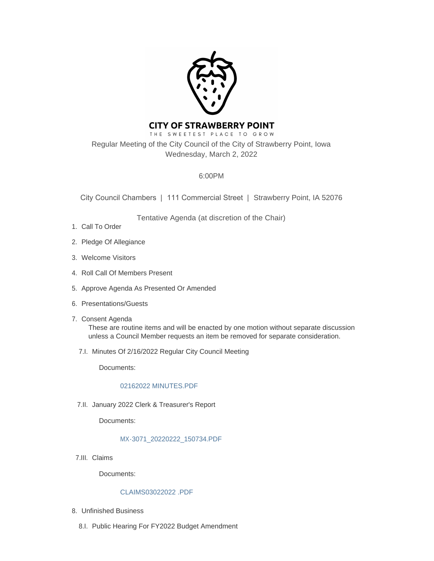

# **CITY OF STRAWBERRY POINT**

THE SWEETEST PLACE TO GROW Regular Meeting of the City Council of the City of Strawberry Point, Iowa Wednesday, March 2, 2022

# 6:00PM

City Council Chambers | 111 Commercial Street | Strawberry Point, IA 52076

Tentative Agenda (at discretion of the Chair)

- 1. Call To Order
- 2. Pledge Of Allegiance
- Welcome Visitors 3.
- 4. Roll Call Of Members Present
- 5. Approve Agenda As Presented Or Amended
- 6. Presentations/Guests
- 7. Consent Agenda These are routine items and will be enacted by one motion without separate discussion unless a Council Member requests an item be removed for separate consideration.
	- 7.I. Minutes Of 2/16/2022 Regular City Council Meeting

Documents:

#### [02162022 MINUTES.PDF](http://www.strawberrypt.com/AgendaCenter/ViewFile/Item/585?fileID=502)

7.II. January 2022 Clerk & Treasurer's Report

Documents:

#### [MX-3071\\_20220222\\_150734.PDF](http://www.strawberrypt.com/AgendaCenter/ViewFile/Item/580?fileID=503)

7.III. Claims

Documents:

#### [CLAIMS03022022 .PDF](http://www.strawberrypt.com/AgendaCenter/ViewFile/Item/584?fileID=526)

- Unfinished Business 8.
	- 8.I. Public Hearing For FY2022 Budget Amendment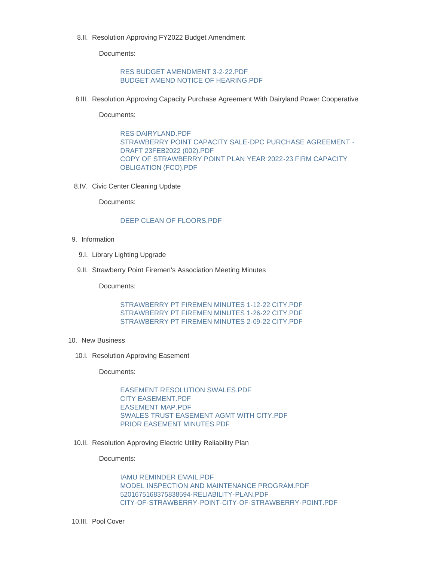8.II. Resolution Approving FY2022 Budget Amendment

Documents:

[RES BUDGET AMENDMENT 3-2-22.PDF](http://www.strawberrypt.com/AgendaCenter/ViewFile/Item/583?fileID=511) [BUDGET AMEND NOTICE OF HEARING.PDF](http://www.strawberrypt.com/AgendaCenter/ViewFile/Item/583?fileID=512)

8.III. Resolution Approving Capacity Purchase Agreement With Dairyland Power Cooperative

Documents:

[RES DAIRYLAND.PDF](http://www.strawberrypt.com/AgendaCenter/ViewFile/Item/586?fileID=504) [STRAWBERRY POINT CAPACITY SALE-DPC PURCHASE AGREEMENT -](http://www.strawberrypt.com/AgendaCenter/ViewFile/Item/586?fileID=505) DRAFT 23FEB2022 (002).PDF [COPY OF STRAWBERRY POINT PLAN YEAR 2022-23 FIRM CAPACITY](http://www.strawberrypt.com/AgendaCenter/ViewFile/Item/586?fileID=506)  OBLIGATION (FCO).PDF

8.IV. Civic Center Cleaning Update

Documents:

#### [DEEP CLEAN OF FLOORS.PDF](http://www.strawberrypt.com/AgendaCenter/ViewFile/Item/579?fileID=507)

- 9. Information
	- 9.I. Library Lighting Upgrade
	- 9.II. Strawberry Point Firemen's Association Meeting Minutes

Documents:

[STRAWBERRY PT FIREMEN MINUTES 1-12-22 CITY.PDF](http://www.strawberrypt.com/AgendaCenter/ViewFile/Item/587?fileID=518) [STRAWBERRY PT FIREMEN MINUTES 1-26-22 CITY.PDF](http://www.strawberrypt.com/AgendaCenter/ViewFile/Item/587?fileID=519) [STRAWBERRY PT FIREMEN MINUTES 2-09-22 CITY.PDF](http://www.strawberrypt.com/AgendaCenter/ViewFile/Item/587?fileID=520)

- 10. New Business
	- 10.I. Resolution Approving Easement

Documents:

[EASEMENT RESOLUTION SWALES.PDF](http://www.strawberrypt.com/AgendaCenter/ViewFile/Item/576?fileID=513) [CITY EASEMENT.PDF](http://www.strawberrypt.com/AgendaCenter/ViewFile/Item/576?fileID=514) [EASEMENT MAP.PDF](http://www.strawberrypt.com/AgendaCenter/ViewFile/Item/576?fileID=515) [SWALES TRUST EASEMENT AGMT WITH CITY.PDF](http://www.strawberrypt.com/AgendaCenter/ViewFile/Item/576?fileID=516) [PRIOR EASEMENT MINUTES.PDF](http://www.strawberrypt.com/AgendaCenter/ViewFile/Item/576?fileID=525)

10.II. Resolution Approving Electric Utility Reliability Plan

Documents:

[IAMU REMINDER EMAIL.PDF](http://www.strawberrypt.com/AgendaCenter/ViewFile/Item/588?fileID=521) [MODEL INSPECTION AND MAINTENANCE PROGRAM.PDF](http://www.strawberrypt.com/AgendaCenter/ViewFile/Item/588?fileID=522) [5201675168375838594-RELIABILITY-PLAN.PDF](http://www.strawberrypt.com/AgendaCenter/ViewFile/Item/588?fileID=523) [CITY-OF-STRAWBERRY-POINT-CITY-OF-STRAWBERRY-POINT.PDF](http://www.strawberrypt.com/AgendaCenter/ViewFile/Item/588?fileID=524)

10.III. Pool Cover